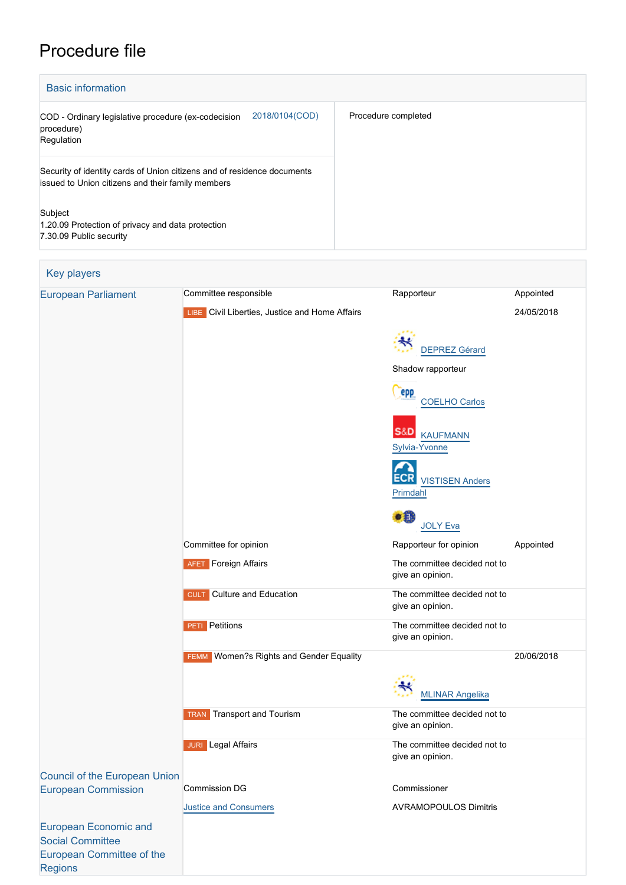# Procedure file

| <b>Basic information</b>                                                                                                     |                     |  |  |  |
|------------------------------------------------------------------------------------------------------------------------------|---------------------|--|--|--|
| 2018/0104(COD)<br>COD - Ordinary legislative procedure (ex-codecision<br>procedure)<br>Regulation                            | Procedure completed |  |  |  |
| Security of identity cards of Union citizens and of residence documents<br>issued to Union citizens and their family members |                     |  |  |  |
| Subject<br>1.20.09 Protection of privacy and data protection<br>7.30.09 Public security                                      |                     |  |  |  |

| Key players                                                                          |                                                   |                                                  |            |
|--------------------------------------------------------------------------------------|---------------------------------------------------|--------------------------------------------------|------------|
| <b>European Parliament</b>                                                           | Committee responsible                             | Rapporteur                                       | Appointed  |
|                                                                                      | LIBE Civil Liberties, Justice and Home Affairs    |                                                  | 24/05/2018 |
|                                                                                      |                                                   | <b>DEPREZ Gérard</b>                             |            |
|                                                                                      |                                                   | Shadow rapporteur                                |            |
|                                                                                      |                                                   | epp<br><b>COELHO Carlos</b>                      |            |
|                                                                                      |                                                   | S&D<br><b>KAUFMANN</b><br>Sylvia-Yvonne          |            |
|                                                                                      |                                                   | <b>VISTISEN Anders</b><br>Primdahl               |            |
|                                                                                      |                                                   | 51<br><b>JOLY Eva</b>                            |            |
|                                                                                      | Committee for opinion                             | Rapporteur for opinion                           | Appointed  |
|                                                                                      | <b>AFET</b> Foreign Affairs                       | The committee decided not to<br>give an opinion. |            |
|                                                                                      | <b>CULT</b> Culture and Education                 | The committee decided not to<br>give an opinion. |            |
|                                                                                      | <b>PETI</b> Petitions                             | The committee decided not to<br>give an opinion. |            |
|                                                                                      | Women?s Rights and Gender Equality<br><b>FEMM</b> |                                                  | 20/06/2018 |
|                                                                                      |                                                   | <b>MLINAR Angelika</b>                           |            |
|                                                                                      | <b>Transport and Tourism</b><br><b>TRAN</b>       | The committee decided not to<br>give an opinion. |            |
|                                                                                      | <b>JURI</b> Legal Affairs                         | The committee decided not to<br>give an opinion. |            |
| <b>Council of the European Union</b>                                                 |                                                   |                                                  |            |
| <b>European Commission</b>                                                           | Commission DG                                     | Commissioner                                     |            |
|                                                                                      | <b>Justice and Consumers</b>                      | <b>AVRAMOPOULOS Dimitris</b>                     |            |
| <b>European Economic and</b><br><b>Social Committee</b><br>European Committee of the |                                                   |                                                  |            |
| <b>Regions</b>                                                                       |                                                   |                                                  |            |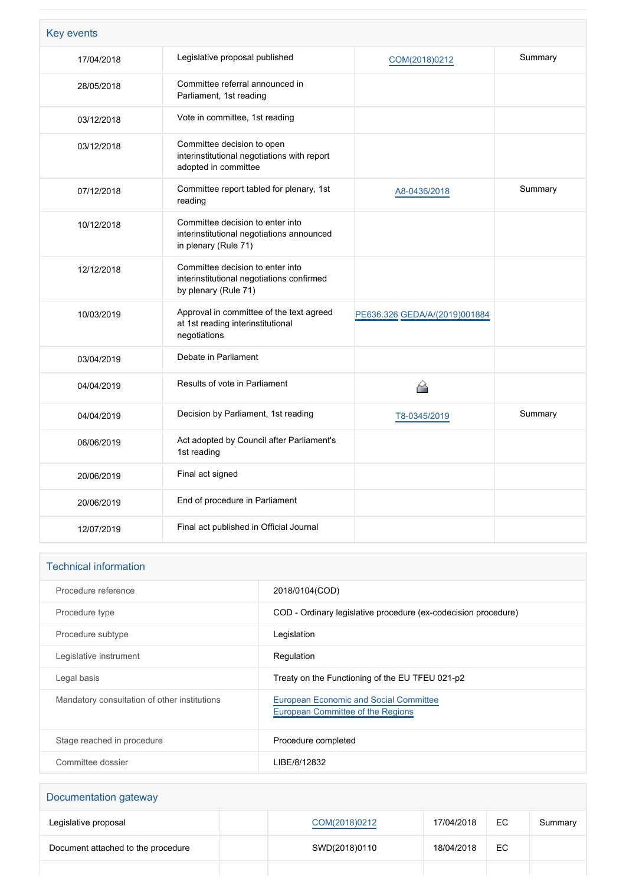| <b>Key events</b> |                                                                                                       |                               |         |
|-------------------|-------------------------------------------------------------------------------------------------------|-------------------------------|---------|
| 17/04/2018        | Legislative proposal published                                                                        | COM(2018)0212                 | Summary |
| 28/05/2018        | Committee referral announced in<br>Parliament, 1st reading                                            |                               |         |
| 03/12/2018        | Vote in committee, 1st reading                                                                        |                               |         |
| 03/12/2018        | Committee decision to open<br>interinstitutional negotiations with report<br>adopted in committee     |                               |         |
| 07/12/2018        | Committee report tabled for plenary, 1st<br>reading                                                   | A8-0436/2018                  | Summary |
| 10/12/2018        | Committee decision to enter into<br>interinstitutional negotiations announced<br>in plenary (Rule 71) |                               |         |
| 12/12/2018        | Committee decision to enter into<br>interinstitutional negotiations confirmed<br>by plenary (Rule 71) |                               |         |
| 10/03/2019        | Approval in committee of the text agreed<br>at 1st reading interinstitutional<br>negotiations         | PE636.326 GEDA/A/(2019)001884 |         |
| 03/04/2019        | Debate in Parliament                                                                                  |                               |         |
| 04/04/2019        | Results of vote in Parliament                                                                         | A                             |         |
| 04/04/2019        | Decision by Parliament, 1st reading                                                                   | T8-0345/2019                  | Summary |
| 06/06/2019        | Act adopted by Council after Parliament's<br>1st reading                                              |                               |         |
| 20/06/2019        | Final act signed                                                                                      |                               |         |
| 20/06/2019        | End of procedure in Parliament                                                                        |                               |         |
| 12/07/2019        | Final act published in Official Journal                                                               |                               |         |

| <b>Technical information</b>                 |                                                                                    |
|----------------------------------------------|------------------------------------------------------------------------------------|
| Procedure reference                          | 2018/0104(COD)                                                                     |
| Procedure type                               | COD - Ordinary legislative procedure (ex-codecision procedure)                     |
| Procedure subtype                            | Legislation                                                                        |
| Legislative instrument                       | Regulation                                                                         |
| Legal basis                                  | Treaty on the Functioning of the EU TFEU 021-p2                                    |
| Mandatory consultation of other institutions | <b>European Economic and Social Committee</b><br>European Committee of the Regions |
| Stage reached in procedure                   | Procedure completed                                                                |
| Committee dossier                            | LIBE/8/12832                                                                       |

| Documentation gateway              |  |               |            |     |         |
|------------------------------------|--|---------------|------------|-----|---------|
| Legislative proposal               |  | COM(2018)0212 | 17/04/2018 | EC. | Summary |
| Document attached to the procedure |  | SWD(2018)0110 | 18/04/2018 | EC. |         |
|                                    |  |               |            |     |         |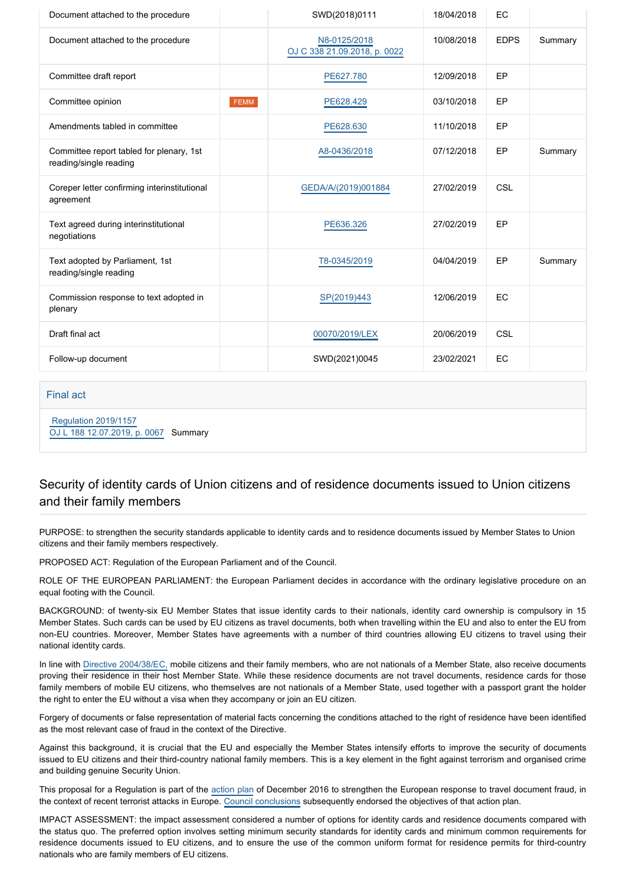| Document attached to the procedure                                 |             | SWD(2018)0111                                | 18/04/2018 | EC          |         |
|--------------------------------------------------------------------|-------------|----------------------------------------------|------------|-------------|---------|
| Document attached to the procedure                                 |             | N8-0125/2018<br>OJ C 338 21.09.2018, p. 0022 | 10/08/2018 | <b>EDPS</b> | Summary |
| Committee draft report                                             |             | PE627.780                                    | 12/09/2018 | EP          |         |
| Committee opinion                                                  | <b>FEMM</b> | PE628.429                                    | 03/10/2018 | EP          |         |
| Amendments tabled in committee                                     |             | PE628.630                                    | 11/10/2018 | EP          |         |
| Committee report tabled for plenary, 1st<br>reading/single reading |             | A8-0436/2018                                 | 07/12/2018 | EP          | Summary |
| Coreper letter confirming interinstitutional<br>agreement          |             | GEDA/A/(2019)001884                          | 27/02/2019 | CSL         |         |
| Text agreed during interinstitutional<br>negotiations              |             | PE636.326                                    | 27/02/2019 | EP          |         |
| Text adopted by Parliament, 1st<br>reading/single reading          |             | T8-0345/2019                                 | 04/04/2019 | EP          | Summary |
| Commission response to text adopted in<br>plenary                  |             | SP(2019)443                                  | 12/06/2019 | EC          |         |
| Draft final act                                                    |             | 00070/2019/LEX                               | 20/06/2019 | <b>CSL</b>  |         |
| Follow-up document                                                 |             | SWD(2021)0045                                | 23/02/2021 | EC          |         |

### Final act

 [Regulation 2019/1157](https://eur-lex.europa.eu/smartapi/cgi/sga_doc?smartapi!celexplus!prod!CELEXnumdoc&lg=EN&numdoc=32019R1157) [OJ L 188 12.07.2019, p. 0067](https://eur-lex.europa.eu/legal-content/EN/TXT/?uri=OJ:L:2019:188:TOC) Summary

# Security of identity cards of Union citizens and of residence documents issued to Union citizens and their family members

PURPOSE: to strengthen the security standards applicable to identity cards and to residence documents issued by Member States to Union citizens and their family members respectively.

PROPOSED ACT: Regulation of the European Parliament and of the Council.

ROLE OF THE EUROPEAN PARLIAMENT: the European Parliament decides in accordance with the ordinary legislative procedure on an equal footing with the Council.

BACKGROUND: of twenty-six EU Member States that issue identity cards to their nationals, identity card ownership is compulsory in 15 Member States. Such cards can be used by EU citizens as travel documents, both when travelling within the EU and also to enter the EU from non-EU countries. Moreover, Member States have agreements with a number of third countries allowing EU citizens to travel using their national identity cards.

In line with [Directive 2004/38/EC,](http://eur-lex.europa.eu/legal-content/EN/TXT/?uri=celex:32004L0038) mobile citizens and their family members, who are not nationals of a Member State, also receive documents proving their residence in their host Member State. While these residence documents are not travel documents, residence cards for those family members of mobile EU citizens, who themselves are not nationals of a Member State, used together with a passport grant the holder the right to enter the EU without a visa when they accompany or join an EU citizen.

Forgery of documents or false representation of material facts concerning the conditions attached to the right of residence have been identified as the most relevant case of fraud in the context of the Directive.

Against this background, it is crucial that the EU and especially the Member States intensify efforts to improve the security of documents issued to EU citizens and their third-country national family members. This is a key element in the fight against terrorism and organised crime and building genuine Security Union.

This proposal for a Regulation is part of the [action plan](http://eur-lex.europa.eu/legal-content/EN/TXT/?uri=CELEX%3A52016DC0732) of December 2016 to strengthen the European response to travel document fraud, in the context of recent terrorist attacks in Europe. [Council conclusions](http://data.consilium.europa.eu/doc/document/ST-9080-2017-INIT/en/pdf) subsequently endorsed the objectives of that action plan.

IMPACT ASSESSMENT: the impact assessment considered a number of options for identity cards and residence documents compared with the status quo. The preferred option involves setting minimum security standards for identity cards and minimum common requirements for residence documents issued to EU citizens, and to ensure the use of the common uniform format for residence permits for third-country nationals who are family members of EU citizens.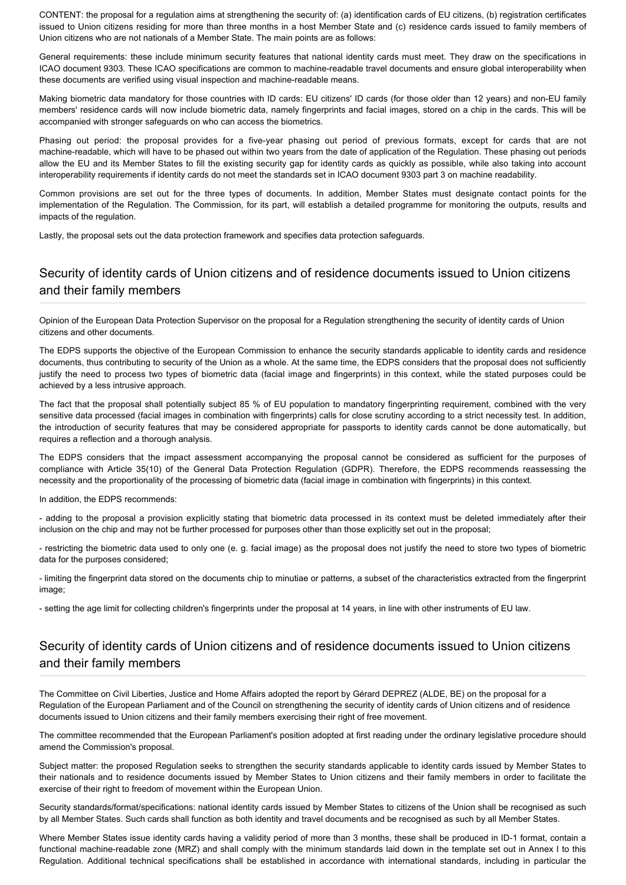CONTENT: the proposal for a regulation aims at strengthening the security of: (a) identification cards of EU citizens, (b) registration certificates issued to Union citizens residing for more than three months in a host Member State and (c) residence cards issued to family members of Union citizens who are not nationals of a Member State. The main points are as follows:

General requirements: these include minimum security features that national identity cards must meet. They draw on the specifications in ICAO document 9303. These ICAO specifications are common to machine-readable travel documents and ensure global interoperability when these documents are verified using visual inspection and machine-readable means.

Making biometric data mandatory for those countries with ID cards: EU citizens' ID cards (for those older than 12 years) and non-EU family members' residence cards will now include biometric data, namely fingerprints and facial images, stored on a chip in the cards. This will be accompanied with stronger safeguards on who can access the biometrics.

Phasing out period: the proposal provides for a five-year phasing out period of previous formats, except for cards that are not machine-readable, which will have to be phased out within two years from the date of application of the Regulation. These phasing out periods allow the EU and its Member States to fill the existing security gap for identity cards as quickly as possible, while also taking into account interoperability requirements if identity cards do not meet the standards set in ICAO document 9303 part 3 on machine readability.

Common provisions are set out for the three types of documents. In addition, Member States must designate contact points for the implementation of the Regulation. The Commission, for its part, will establish a detailed programme for monitoring the outputs, results and impacts of the regulation.

Lastly, the proposal sets out the data protection framework and specifies data protection safeguards.

# Security of identity cards of Union citizens and of residence documents issued to Union citizens and their family members

Opinion of the European Data Protection Supervisor on the proposal for a Regulation strengthening the security of identity cards of Union citizens and other documents.

The EDPS supports the objective of the European Commission to enhance the security standards applicable to identity cards and residence documents, thus contributing to security of the Union as a whole. At the same time, the EDPS considers that the proposal does not sufficiently justify the need to process two types of biometric data (facial image and fingerprints) in this context, while the stated purposes could be achieved by a less intrusive approach.

The fact that the proposal shall potentially subject 85 % of EU population to mandatory fingerprinting requirement, combined with the very sensitive data processed (facial images in combination with fingerprints) calls for close scrutiny according to a strict necessity test. In addition, the introduction of security features that may be considered appropriate for passports to identity cards cannot be done automatically, but requires a reflection and a thorough analysis.

The EDPS considers that the impact assessment accompanying the proposal cannot be considered as sufficient for the purposes of compliance with Article 35(10) of the General Data Protection Regulation (GDPR). Therefore, the EDPS recommends reassessing the necessity and the proportionality of the processing of biometric data (facial image in combination with fingerprints) in this context.

In addition, the EDPS recommends:

- adding to the proposal a provision explicitly stating that biometric data processed in its context must be deleted immediately after their inclusion on the chip and may not be further processed for purposes other than those explicitly set out in the proposal;

- restricting the biometric data used to only one (e. g. facial image) as the proposal does not justify the need to store two types of biometric data for the purposes considered;

- limiting the fingerprint data stored on the documents chip to minutiae or patterns, a subset of the characteristics extracted from the fingerprint image;

- setting the age limit for collecting children's fingerprints under the proposal at 14 years, in line with other instruments of EU law.

## Security of identity cards of Union citizens and of residence documents issued to Union citizens and their family members

The Committee on Civil Liberties, Justice and Home Affairs adopted the report by Gérard DEPREZ (ALDE, BE) on the proposal for a Regulation of the European Parliament and of the Council on strengthening the security of identity cards of Union citizens and of residence documents issued to Union citizens and their family members exercising their right of free movement.

The committee recommended that the European Parliament's position adopted at first reading under the ordinary legislative procedure should amend the Commission's proposal.

Subject matter: the proposed Regulation seeks to strengthen the security standards applicable to identity cards issued by Member States to their nationals and to residence documents issued by Member States to Union citizens and their family members in order to facilitate the exercise of their right to freedom of movement within the European Union.

Security standards/format/specifications: national identity cards issued by Member States to citizens of the Union shall be recognised as such by all Member States. Such cards shall function as both identity and travel documents and be recognised as such by all Member States.

Where Member States issue identity cards having a validity period of more than 3 months, these shall be produced in ID-1 format, contain a functional machine-readable zone (MRZ) and shall comply with the minimum standards laid down in the template set out in Annex I to this Regulation. Additional technical specifications shall be established in accordance with international standards, including in particular the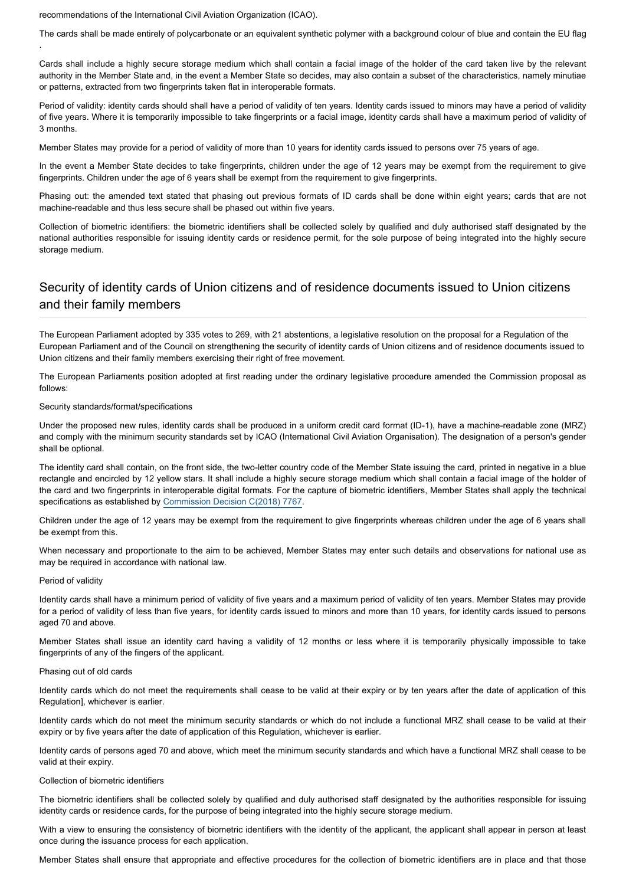recommendations of the International Civil Aviation Organization (ICAO).

The cards shall be made entirely of polycarbonate or an equivalent synthetic polymer with a background colour of blue and contain the EU flag

Cards shall include a highly secure storage medium which shall contain a facial image of the holder of the card taken live by the relevant authority in the Member State and, in the event a Member State so decides, may also contain a subset of the characteristics, namely minutiae or patterns, extracted from two fingerprints taken flat in interoperable formats.

Period of validity: identity cards should shall have a period of validity of ten years. Identity cards issued to minors may have a period of validity of five years. Where it is temporarily impossible to take fingerprints or a facial image, identity cards shall have a maximum period of validity of 3 months.

Member States may provide for a period of validity of more than 10 years for identity cards issued to persons over 75 years of age.

In the event a Member State decides to take fingerprints, children under the age of 12 years may be exempt from the requirement to give fingerprints. Children under the age of 6 years shall be exempt from the requirement to give fingerprints.

Phasing out: the amended text stated that phasing out previous formats of ID cards shall be done within eight years; cards that are not machine-readable and thus less secure shall be phased out within five years.

Collection of biometric identifiers: the biometric identifiers shall be collected solely by qualified and duly authorised staff designated by the national authorities responsible for issuing identity cards or residence permit, for the sole purpose of being integrated into the highly secure storage medium.

# Security of identity cards of Union citizens and of residence documents issued to Union citizens and their family members

The European Parliament adopted by 335 votes to 269, with 21 abstentions, a legislative resolution on the proposal for a Regulation of the European Parliament and of the Council on strengthening the security of identity cards of Union citizens and of residence documents issued to Union citizens and their family members exercising their right of free movement.

The European Parliaments position adopted at first reading under the ordinary legislative procedure amended the Commission proposal as follows:

### Security standards/format/specifications

Under the proposed new rules, identity cards shall be produced in a uniform credit card format (ID-1), have a machine-readable zone (MRZ) and comply with the minimum security standards set by ICAO (International Civil Aviation Organisation). The designation of a person's gender shall be optional.

The identity card shall contain, on the front side, the two-letter country code of the Member State issuing the card, printed in negative in a blue rectangle and encircled by 12 yellow stars. It shall include a highly secure storage medium which shall contain a facial image of the holder of the card and two fingerprints in interoperable digital formats. For the capture of biometric identifiers, Member States shall apply the technical specifications as established by [Commission Decision C\(2018\) 7767](https://ec.europa.eu/home-affairs/sites/homeaffairs/files/e-library/documents/policies/borders-and-visas/document-security/docs/comm_decision_c_2018_7767_f1_en.pdf).

Children under the age of 12 years may be exempt from the requirement to give fingerprints whereas children under the age of 6 years shall be exempt from this.

When necessary and proportionate to the aim to be achieved, Member States may enter such details and observations for national use as may be required in accordance with national law.

### Period of validity

.

Identity cards shall have a minimum period of validity of five years and a maximum period of validity of ten years. Member States may provide for a period of validity of less than five years, for identity cards issued to minors and more than 10 years, for identity cards issued to persons aged 70 and above.

Member States shall issue an identity card having a validity of 12 months or less where it is temporarily physically impossible to take fingerprints of any of the fingers of the applicant.

#### Phasing out of old cards

Identity cards which do not meet the requirements shall cease to be valid at their expiry or by ten years after the date of application of this Regulation], whichever is earlier.

Identity cards which do not meet the minimum security standards or which do not include a functional MRZ shall cease to be valid at their expiry or by five years after the date of application of this Regulation, whichever is earlier.

Identity cards of persons aged 70 and above, which meet the minimum security standards and which have a functional MRZ shall cease to be valid at their expiry.

#### Collection of biometric identifiers

The biometric identifiers shall be collected solely by qualified and duly authorised staff designated by the authorities responsible for issuing identity cards or residence cards, for the purpose of being integrated into the highly secure storage medium.

With a view to ensuring the consistency of biometric identifiers with the identity of the applicant, the applicant shall appear in person at least once during the issuance process for each application.

Member States shall ensure that appropriate and effective procedures for the collection of biometric identifiers are in place and that those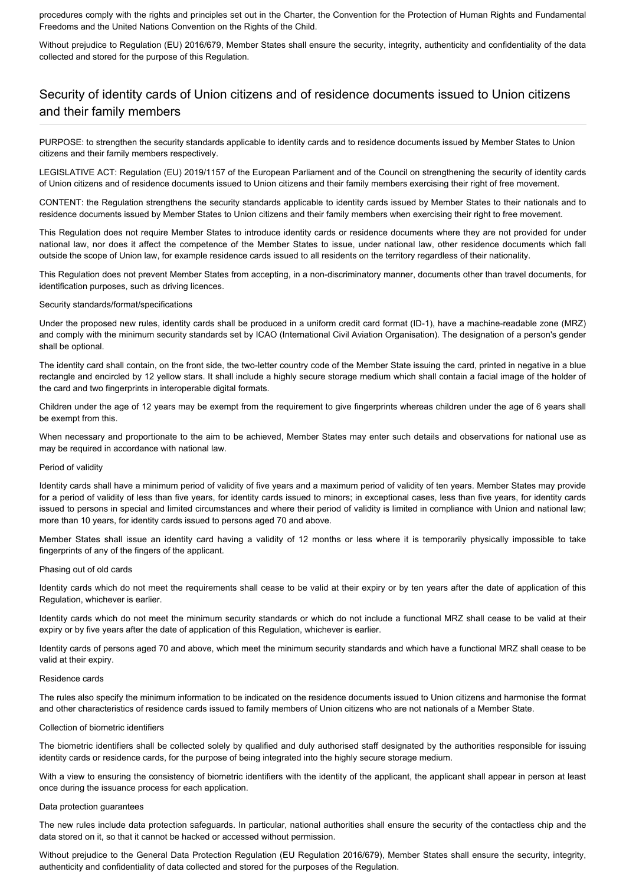procedures comply with the rights and principles set out in the Charter, the Convention for the Protection of Human Rights and Fundamental Freedoms and the United Nations Convention on the Rights of the Child.

Without prejudice to Regulation (EU) 2016/679. Member States shall ensure the security, integrity, authenticity and confidentiality of the data collected and stored for the purpose of this Regulation.

# Security of identity cards of Union citizens and of residence documents issued to Union citizens and their family members

PURPOSE: to strengthen the security standards applicable to identity cards and to residence documents issued by Member States to Union citizens and their family members respectively.

LEGISLATIVE ACT: Regulation (EU) 2019/1157 of the European Parliament and of the Council on strengthening the security of identity cards of Union citizens and of residence documents issued to Union citizens and their family members exercising their right of free movement.

CONTENT: the Regulation strengthens the security standards applicable to identity cards issued by Member States to their nationals and to residence documents issued by Member States to Union citizens and their family members when exercising their right to free movement.

This Regulation does not require Member States to introduce identity cards or residence documents where they are not provided for under national law, nor does it affect the competence of the Member States to issue, under national law, other residence documents which fall outside the scope of Union law, for example residence cards issued to all residents on the territory regardless of their nationality.

This Regulation does not prevent Member States from accepting, in a non-discriminatory manner, documents other than travel documents, for identification purposes, such as driving licences.

### Security standards/format/specifications

Under the proposed new rules, identity cards shall be produced in a uniform credit card format (ID-1), have a machine-readable zone (MRZ) and comply with the minimum security standards set by ICAO (International Civil Aviation Organisation). The designation of a person's gender shall be optional.

The identity card shall contain, on the front side, the two-letter country code of the Member State issuing the card, printed in negative in a blue rectangle and encircled by 12 yellow stars. It shall include a highly secure storage medium which shall contain a facial image of the holder of the card and two fingerprints in interoperable digital formats.

Children under the age of 12 years may be exempt from the requirement to give fingerprints whereas children under the age of 6 years shall be exempt from this.

When necessary and proportionate to the aim to be achieved, Member States may enter such details and observations for national use as may be required in accordance with national law.

#### Period of validity

Identity cards shall have a minimum period of validity of five years and a maximum period of validity of ten years. Member States may provide for a period of validity of less than five years, for identity cards issued to minors; in exceptional cases, less than five years, for identity cards issued to persons in special and limited circumstances and where their period of validity is limited in compliance with Union and national law; more than 10 years, for identity cards issued to persons aged 70 and above.

Member States shall issue an identity card having a validity of 12 months or less where it is temporarily physically impossible to take fingerprints of any of the fingers of the applicant.

### Phasing out of old cards

Identity cards which do not meet the requirements shall cease to be valid at their expiry or by ten years after the date of application of this Regulation, whichever is earlier.

Identity cards which do not meet the minimum security standards or which do not include a functional MRZ shall cease to be valid at their expiry or by five years after the date of application of this Regulation, whichever is earlier.

Identity cards of persons aged 70 and above, which meet the minimum security standards and which have a functional MRZ shall cease to be valid at their expiry.

#### Residence cards

The rules also specify the minimum information to be indicated on the residence documents issued to Union citizens and harmonise the format and other characteristics of residence cards issued to family members of Union citizens who are not nationals of a Member State.

#### Collection of biometric identifiers

The biometric identifiers shall be collected solely by qualified and duly authorised staff designated by the authorities responsible for issuing identity cards or residence cards, for the purpose of being integrated into the highly secure storage medium.

With a view to ensuring the consistency of biometric identifiers with the identity of the applicant, the applicant shall appear in person at least once during the issuance process for each application.

#### Data protection guarantees

The new rules include data protection safeguards. In particular, national authorities shall ensure the security of the contactless chip and the data stored on it, so that it cannot be hacked or accessed without permission.

Without prejudice to the General Data Protection Regulation (EU Regulation 2016/679), Member States shall ensure the security, integrity, authenticity and confidentiality of data collected and stored for the purposes of the Regulation.